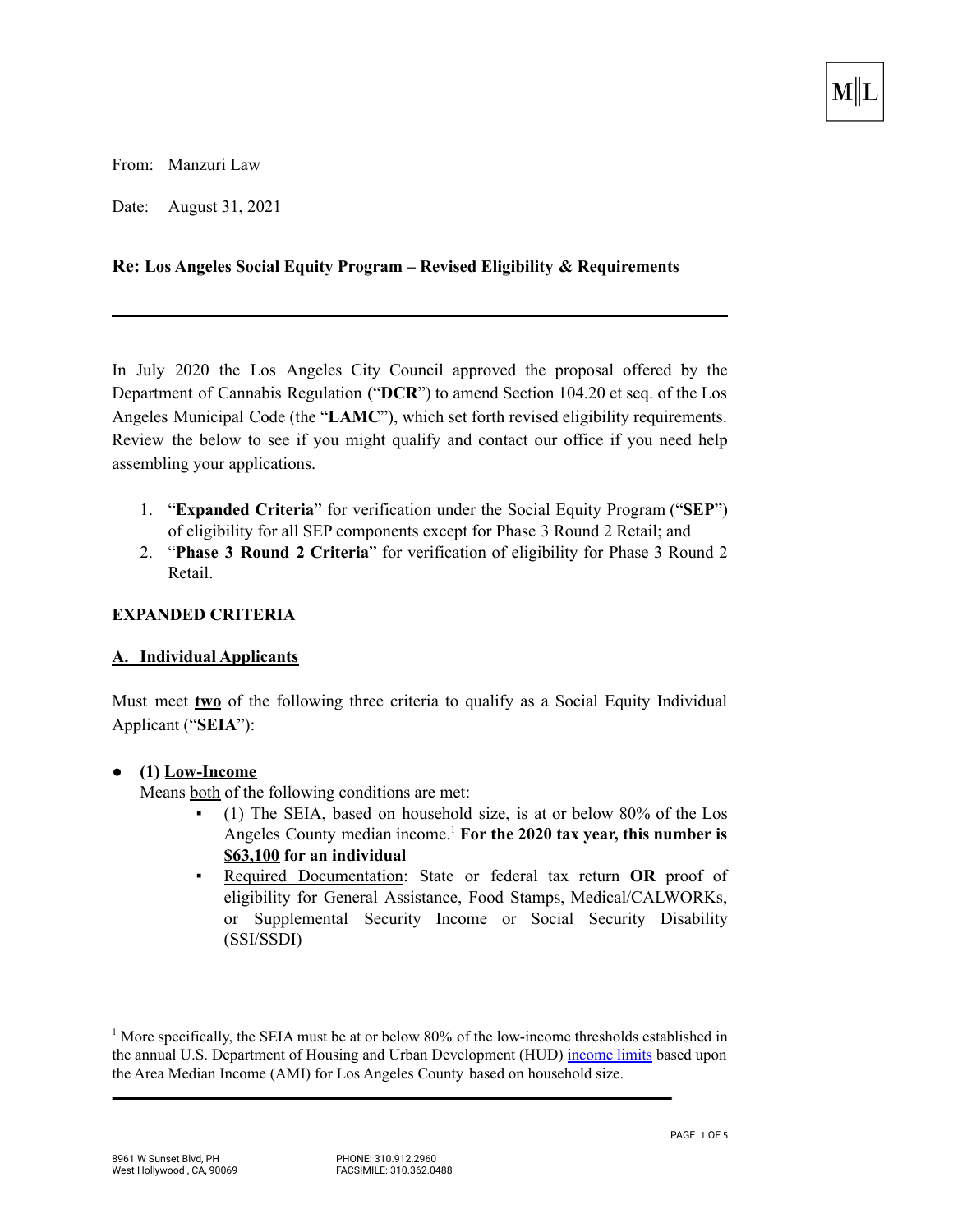From: Manzuri Law

Date: August 31, 2021

## **Re: Los Angeles Social Equity Program – Revised Eligibility & Requirements**

In July 2020 the Los Angeles City Council approved the proposal offered by the Department of Cannabis Regulation ("**DCR**") to amend Section 104.20 et seq. of the Los Angeles Municipal Code (the "**LAMC**"), which set forth revised eligibility requirements. Review the below to see if you might qualify and contact our office if you need help assembling your applications.

- 1. "**Expanded Criteria**" for verification under the Social Equity Program ("**SEP**") of eligibility for all SEP components except for Phase 3 Round 2 Retail; and
- 2. "**Phase 3 Round 2 Criteria**" for verification of eligibility for Phase 3 Round 2 Retail.

## **EXPANDED CRITERIA**

### **A. Individual Applicants**

Must meet **two** of the following three criteria to qualify as a Social Equity Individual Applicant ("**SEIA**"):

# **● (1) Low-Income**

Means both of the following conditions are met:

- $(1)$  The SEIA, based on household size, is at or below 80% of the Los Angeles County median income.<sup>1</sup> For the 2020 tax year, this number is **\$63,100 for an individual**
- Required Documentation: State or federal tax return **OR** proof of eligibility for General Assistance, Food Stamps, Medical/CALWORKs, or Supplemental Security Income or Social Security Disability (SSI/SSDI)

<sup>&</sup>lt;sup>1</sup> More specifically, the SEIA must be at or below 80% of the low-income thresholds established in the annual U.S. Department of Housing and Urban Development (HUD) [income](https://www.huduser.gov/portal/datasets/il/il2020/select_Geography.odn) limits based upon the Area Median Income (AMI) for Los Angeles County based on household size.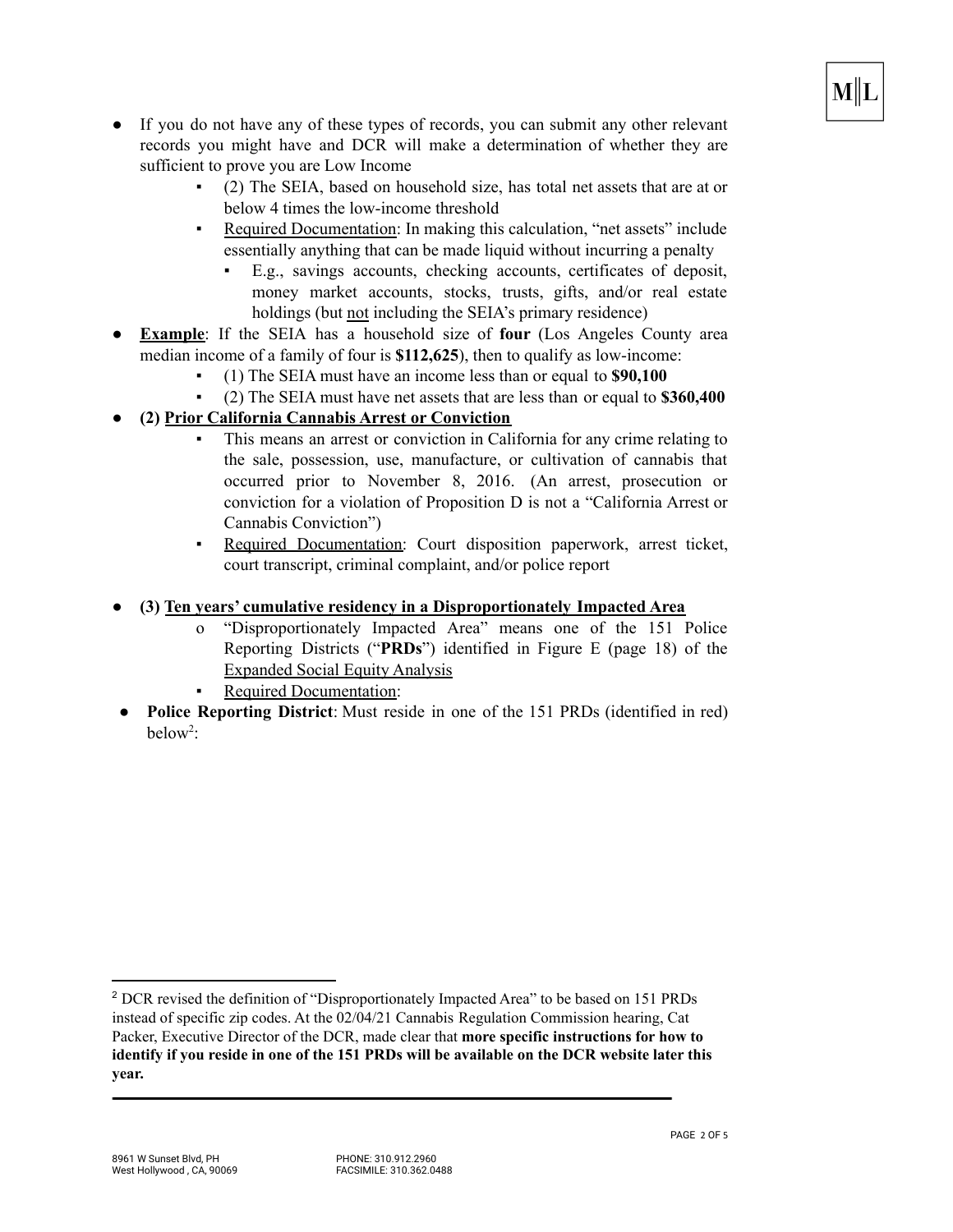

- If you do not have any of these types of records, you can submit any other relevant records you might have and DCR will make a determination of whether they are sufficient to prove you are Low Income
	- (2) The SEIA, based on household size, has total net assets that are at or below 4 times the low-income threshold
	- Required Documentation: In making this calculation, "net assets" include essentially anything that can be made liquid without incurring a penalty
		- E.g., savings accounts, checking accounts, certificates of deposit, money market accounts, stocks, trusts, gifts, and/or real estate holdings (but not including the SEIA's primary residence)
- **Example**: If the SEIA has a household size of **four** (Los Angeles County area median income of a family of four is **\$112,625**), then to qualify as low-income:
	- (1) The SEIA must have an income less than or equal to **\$90,100**
	- (2) The SEIA must have net assets that are less than or equal to **\$360,400**
- **● (2) Prior California Cannabis Arrest or Conviction**
	- This means an arrest or conviction in California for any crime relating to the sale, possession, use, manufacture, or cultivation of cannabis that occurred prior to November 8, 2016. (An arrest, prosecution or conviction for a violation of Proposition D is not a "California Arrest or Cannabis Conviction")
	- Required Documentation: Court disposition paperwork, arrest ticket, court transcript, criminal complaint, and/or police report
- **● (3) Ten years' cumulative residency in a Disproportionately Impacted Area**
	- o "Disproportionately Impacted Area" means one of the 151 Police Reporting Districts ("**PRDs**") identified in Figure E (page 18) of the [Expanded](http://clkrep.lacity.org/onlinedocs/2017/17-0653_rpt_DCR_06-16-2020.pdf) Social Equity Analysis
		- **Required Documentation:**
- **Police Reporting District**: Must reside in one of the 151 PRDs (identified in red) below<sup>2</sup>:

<sup>2</sup> DCR revised the definition of "Disproportionately Impacted Area" to be based on 151 PRDs instead of specific zip codes. At the 02/04/21 Cannabis Regulation Commission hearing, Cat Packer, Executive Director of the DCR, made clear that **more specific instructions for how to** identify if you reside in one of the 151 PRDs will be available on the DCR website later this **year.**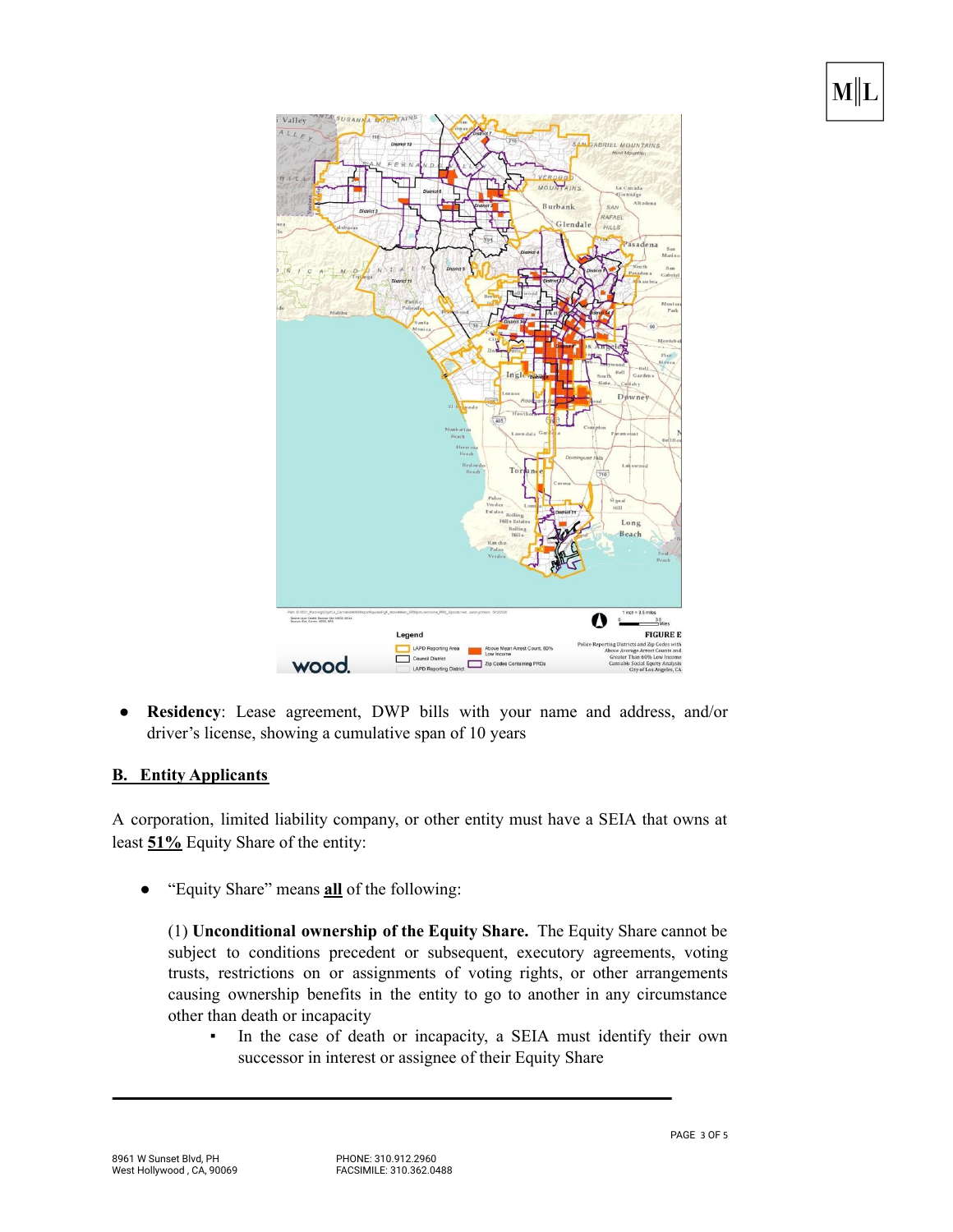

● **Residency**: Lease agreement, DWP bills with your name and address, and/or driver's license, showing a cumulative span of 10 years

# **B. Entity Applicants**

A corporation, limited liability company, or other entity must have a SEIA that owns at least **51%** Equity Share of the entity:

● "Equity Share" means **all** of the following:

(1) **Unconditional ownership of the Equity Share.** The Equity Share cannot be subject to conditions precedent or subsequent, executory agreements, voting trusts, restrictions on or assignments of voting rights, or other arrangements causing ownership benefits in the entity to go to another in any circumstance other than death or incapacity

▪ In the case of death or incapacity, a SEIA must identify their own successor in interest or assignee of their Equity Share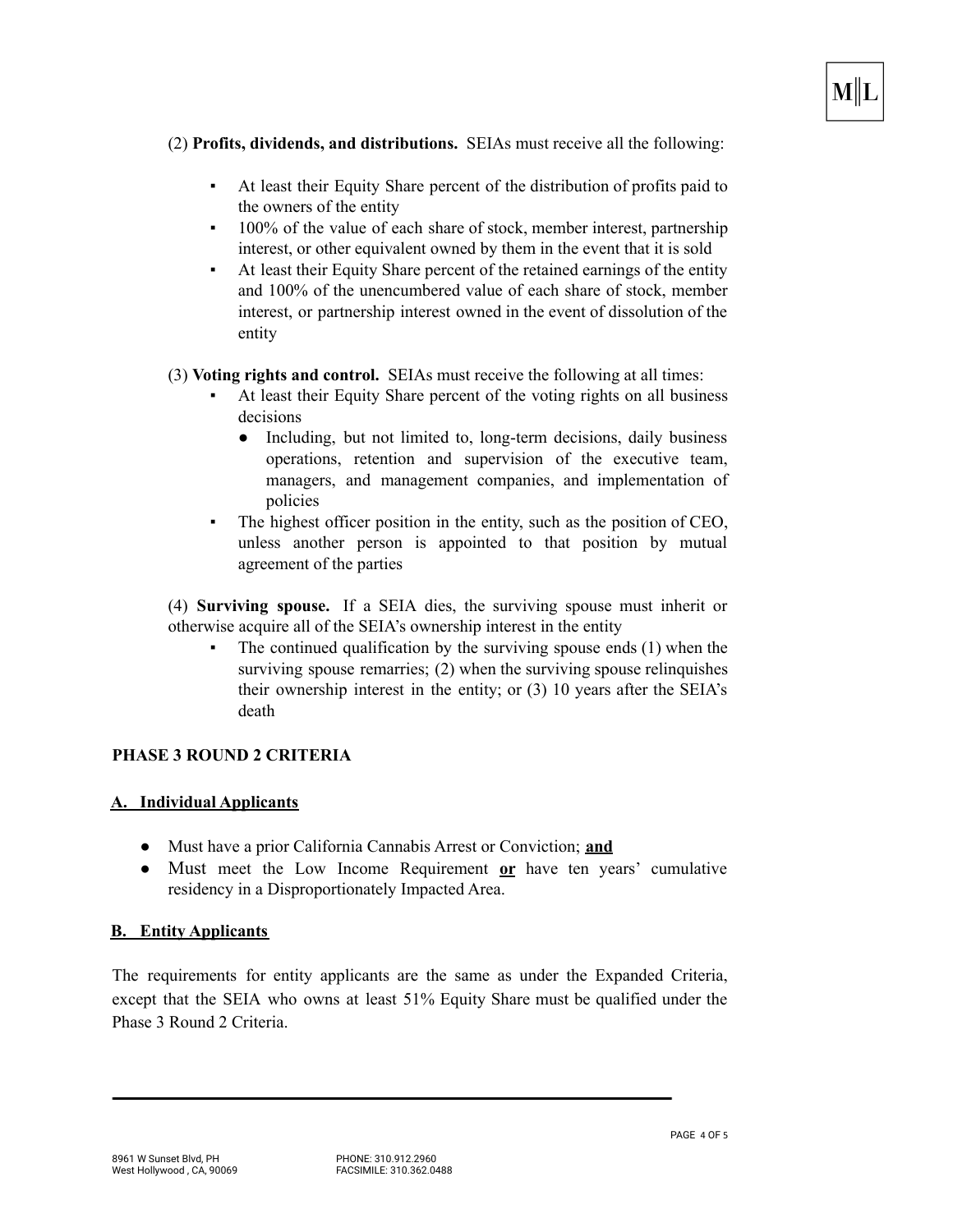(2) **Profits, dividends, and distributions.** SEIAs must receive all the following:

- At least their Equity Share percent of the distribution of profits paid to the owners of the entity
- 100% of the value of each share of stock, member interest, partnership interest, or other equivalent owned by them in the event that it is sold
- At least their Equity Share percent of the retained earnings of the entity and 100% of the unencumbered value of each share of stock, member interest, or partnership interest owned in the event of dissolution of the entity

(3) **Voting rights and control.** SEIAs must receive the following at all times:

- At least their Equity Share percent of the voting rights on all business decisions
	- Including, but not limited to, long-term decisions, daily business operations, retention and supervision of the executive team, managers, and management companies, and implementation of policies
- The highest officer position in the entity, such as the position of CEO, unless another person is appointed to that position by mutual agreement of the parties

(4) **Surviving spouse.** If a SEIA dies, the surviving spouse must inherit or otherwise acquire all of the SEIA's ownership interest in the entity

The continued qualification by the surviving spouse ends  $(1)$  when the surviving spouse remarries; (2) when the surviving spouse relinquishes their ownership interest in the entity; or (3) 10 years after the SEIA's death

# **PHASE 3 ROUND 2 CRITERIA**

### **A. Individual Applicants**

- **●** Must have a prior California Cannabis Arrest or Conviction; **and**
- **●** Must meet the Low Income Requirement **or** have ten years' cumulative residency in a Disproportionately Impacted Area.

# **B. Entity Applicants**

The requirements for entity applicants are the same as under the Expanded Criteria, except that the SEIA who owns at least 51% Equity Share must be qualified under the Phase 3 Round 2 Criteria.